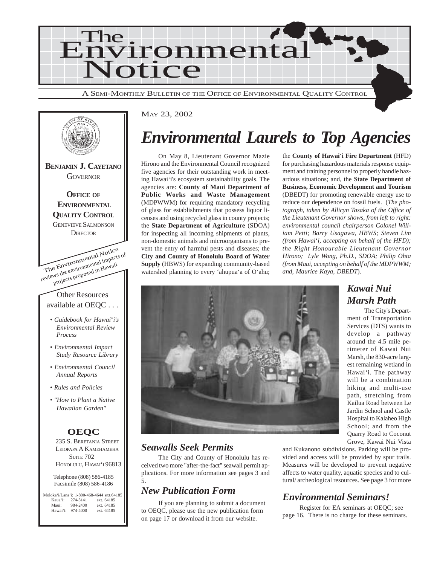



### *Environmental Laurels to Top Agencies*

On May 8, Lieutenant Governor Mazie Hirono and the Environmental Council recognized five agencies for their outstanding work in meeting Hawai'i's ecosystem sustainability goals. The agencies are: **County of Maui Department of Public Works and Waste Management** (MDPWWM) for requiring mandatory recycling of glass for establishments that possess liquor licenses and using recycled glass in county projects; the **State Department of Agriculture** (SDOA) for inspecting all incoming shipments of plants, non-domestic animals and microorganisms to prevent the entry of harmful pests and diseases; the **City and County of Honolulu Board of Water Supply** (HBWS) for expanding community-based watershed planning to every 'ahupua'a of O'ahu;

the **County of Hawai**'**i Fire Department** (HFD) for purchasing hazardous materials response equipment and training personnel to properly handle hazardous situations; and, the **State Department of Business, Economic Development and Tourism** (DBEDT) for promoting renewable energy use to reduce our dependence on fossil fuels. (*The photograph, taken by Allicyn Tasaka of the Office of the Lieutenant Governor shows, from left to right: environmental council chairperson Colonel William Petti; Barry Usagawa, HBWS; Steven Lim (from Hawai*'*i, accepting on behalf of the HFD); the Right Honourable Lieutenant Governor Hirono; Lyle Wong, Ph.D., SDOA; Philip Ohta (from Maui, accepting on behalf of the MDPWWM; and, Maurice Kaya, DBEDT*).

> The City's Department of Transportation Services (DTS) wants to

> est remaining wetland in Hawai'i. The pathway will be a combination

> path, stretching from Kailua Road between Le Jardin School and Castle Hospital to Kalaheo High

> Quarry Road to Coconut Grove, Kawai Nui Vista



### *Seawalls Seek Permits*

The City and County of Honolulu has received two more "after-the-fact" seawall permit applications. For more information see pages 3 and 5.

### *New Publication Form*

If you are planning to submit a document to OEQC, please use the new publication form on page 17 or download it from our website.

and Kukanono subdivisions. Parking will be provided and access will be provided by spur trails. Measures will be developed to prevent negative affects to water quality, aquatic species and to cultural/ archeological resources. See page 3 for more

### *Environmental Seminars!*

Register for EA seminars at OEQC; see page 16. There is no charge for these seminars.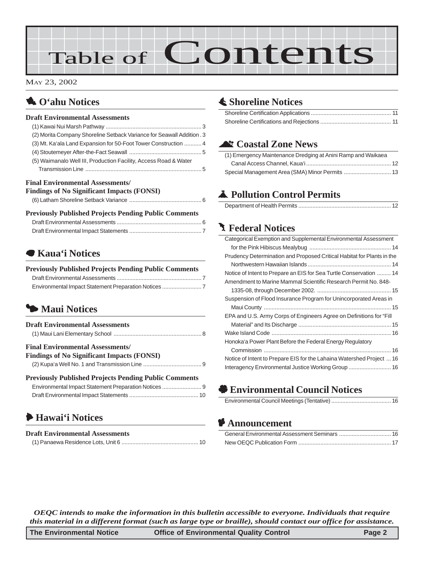# Table of Contents

#### MAY 23, 2002

### 1 **O'ahu Notices**

### **Draft Environmental Assessments**

| (2) Morita Company Shoreline Setback Variance for Seawall Addition . 3 |  |
|------------------------------------------------------------------------|--|
| (3) Mt. Ka'ala Land Expansion for 50-Foot Tower Construction  4        |  |
|                                                                        |  |
| (5) Waimanalo Well III, Production Facility, Access Road & Water       |  |
|                                                                        |  |
|                                                                        |  |

#### **Final Environmental Assessments/**

|  | <b>Findings of No Significant Impacts (FONSI)</b> |
|--|---------------------------------------------------|
|--|---------------------------------------------------|

|  |  |  | n ' 'nu'' 'n ' 'n '' nu'' a |  |  |  |  |  |
|--|--|--|-----------------------------|--|--|--|--|--|

| <b>Previously Published Projects Pending Public Comments</b> |  |
|--------------------------------------------------------------|--|
|                                                              |  |
|                                                              |  |

### 7 **Kaua'i Notices**

| <b>Previously Published Projects Pending Public Comments</b> |  |
|--------------------------------------------------------------|--|
|                                                              |  |
|                                                              |  |

### 3 **Maui Notices**

| <b>Draft Environmental Assessments</b>                                                      |
|---------------------------------------------------------------------------------------------|
| <b>Final Environmental Assessments</b><br><b>Findings of No Significant Impacts (FONSI)</b> |
| <b>Previously Published Projects Pending Public Comments</b>                                |

### 6 **Hawai'i Notices**

| <b>Draft Environmental Assessments</b> |  |
|----------------------------------------|--|
|                                        |  |

### s **[Shoreline Notices](#page-10-0)**

### ^ **Coastal Zone News**

| (1) Emergency Maintenance Dredging at Anini Ramp and Waikaea |  |
|--------------------------------------------------------------|--|
|                                                              |  |
| Special Management Area (SMA) Minor Permits  13              |  |

### V **[Pollution Control Permits](#page-11-0)**

|--|

### **J** Federal Notices

| Categorical Exemption and Supplemental Environmental Assessment        |  |
|------------------------------------------------------------------------|--|
|                                                                        |  |
| Prudency Determination and Proposed Critical Habitat for Plants in the |  |
|                                                                        |  |
| Notice of Intent to Prepare an EIS for Sea Turtle Conservation  14     |  |
| Amendment to Marine Mammal Scientific Research Permit No. 848-         |  |
|                                                                        |  |
| Suspension of Flood Insurance Program for Unincorporated Areas in      |  |
|                                                                        |  |
| EPA and U.S. Army Corps of Engineers Agree on Definitions for "Fill    |  |
|                                                                        |  |
|                                                                        |  |
| Honoka'a Power Plant Before the Federal Energy Regulatory              |  |
|                                                                        |  |
| Notice of Intent to Prepare EIS for the Lahaina Watershed Project  16  |  |
| Interagency Environmental Justice Working Group  16                    |  |

' **Environmental Council Notices**

|--|

### C **Announcement**

*OEQC intends to make the information in this bulletin accessible to everyone. Individuals that require this material in a different format (such as large type or braille), should contact our office for assistance.*

| The Environmental Notice | <b>Office of Environmental Quality Control</b> | Page 2 |
|--------------------------|------------------------------------------------|--------|
|--------------------------|------------------------------------------------|--------|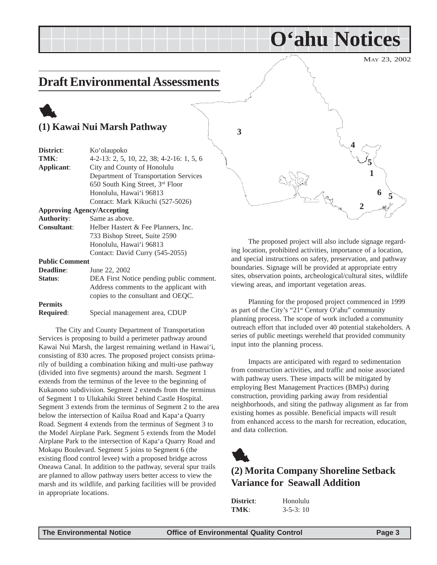### <span id="page-2-0"></span>**Draft Environmental Assessments**

### 1 **(1) Kawai Nui Marsh Pathway**

| District:             | Ko'olaupoko                               |
|-----------------------|-------------------------------------------|
| TMK:                  | 4-2-13: 2, 5, 10, 22, 38; 4-2-16: 1, 5, 6 |
| Applicant:            | City and County of Honolulu               |
|                       | Department of Transportation Services     |
|                       | 650 South King Street, 3rd Floor          |
|                       | Honolulu, Hawai'i 96813                   |
|                       | Contact: Mark Kikuchi (527-5026)          |
|                       | <b>Approving Agency/Accepting</b>         |
| <b>Authority:</b>     | Same as above.                            |
| <b>Consultant:</b>    | Helber Hastert & Fee Planners, Inc.       |
|                       | 733 Bishop Street, Suite 2590             |
|                       | Honolulu, Hawai'i 96813                   |
|                       | Contact: David Curry (545-2055)           |
| <b>Public Comment</b> |                                           |
| Deadline:             | June 22, 2002                             |
| Status:               | DEA First Notice pending public comment.  |
|                       | Address comments to the applicant with    |
|                       | copies to the consultant and OEQC.        |
|                       |                                           |

**Permits Required**: Special management area, CDUP

The City and County Department of Transportation Services is proposing to build a perimeter pathway around Kawai Nui Marsh, the largest remaining wetland in Hawai'i, consisting of 830 acres. The proposed project consists primarily of building a combination hiking and multi-use pathway (divided into five segments) around the marsh. Segment 1 extends from the terminus of the levee to the beginning of Kukanono subdivision. Segment 2 extends from the terminus of Segment 1 to Ulukahiki Street behind Castle Hospital. Segment 3 extends from the terminus of Segment 2 to the area below the intersection of Kailua Road and Kapa'a Quarry Road. Segment 4 extends from the terminus of Segment 3 to the Model Airplane Park. Segment 5 extends from the Model Airplane Park to the intersection of Kapa'a Quarry Road and Mokapu Boulevard. Segment 5 joins to Segment 6 (the existing flood control levee) with a proposed bridge across Oneawa Canal. In addition to the pathway, several spur trails are planned to allow pathway users better access to view the marsh and its wildlife, and parking facilities will be provided in appropriate locations.

**2 5 6 1 3 4 5**

**O'ahu Notices**

The proposed project will also include signage regarding location, prohibited activities, importance of a location, and special instructions on safety, preservation, and pathway boundaries. Signage will be provided at appropriate entry sites, observation points, archeological/cultural sites, wildlife viewing areas, and important vegetation areas.

Planning for the proposed project commenced in 1999 as part of the City's "21<sup>st</sup> Century O'ahu" community planning process. The scope of work included a community outreach effort that included over 40 potential stakeholders. A series of public meetings wereheld that provided community input into the planning process.

Impacts are anticipated with regard to sedimentation from construction activities, and traffic and noise associated with pathway users. These impacts will be mitigated by employing Best Management Practices (BMPs) during construction, providing parking away from residential neighborhoods, and siting the pathway alignment as far from existing homes as possible. Beneficial impacts will result from enhanced access to the marsh for recreation, education, and data collection.



### **(2) Morita Company Shoreline Setback Variance for Seawall Addition**

| District: | Honolulu         |
|-----------|------------------|
| TMK:      | $3 - 5 - 3$ : 10 |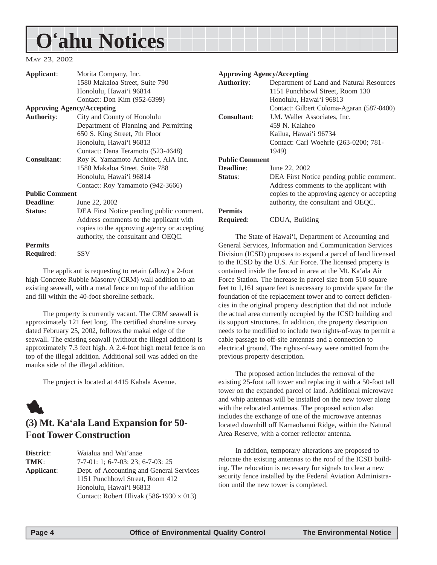## <span id="page-3-0"></span>**O'ahu Notices**

#### MAY 23, 2002

| Applicant:            | Morita Company, Inc.                                         | <b>Approving Agency/Accepting</b>                        |                                                              |
|-----------------------|--------------------------------------------------------------|----------------------------------------------------------|--------------------------------------------------------------|
|                       | 1580 Makaloa Street, Suite 790                               | <b>Authority:</b>                                        | Department of Land and Natural Resources                     |
|                       | Honolulu, Hawai'i 96814                                      |                                                          | 1151 Punchbowl Street, Room 130                              |
|                       | Contact: Don Kim (952-6399)                                  |                                                          | Honolulu, Hawai'i 96813                                      |
|                       | <b>Approving Agency/Accepting</b>                            |                                                          | Contact: Gilbert Coloma-Agaran (587-0400)                    |
| <b>Authority:</b>     | City and County of Honolulu                                  | <b>Consultant:</b>                                       | J.M. Waller Associates, Inc.                                 |
|                       | Department of Planning and Permitting                        |                                                          | 459 N. Kalaheo                                               |
|                       | 650 S. King Street, 7th Floor                                |                                                          | Kailua, Hawai'i 96734                                        |
|                       | Honolulu, Hawai'i 96813                                      |                                                          | Contact: Carl Woehrle (263-0200; 781-                        |
|                       | Contact: Dana Teramoto (523-4648)                            |                                                          | 1949)                                                        |
| <b>Consultant:</b>    | <b>Public Comment</b><br>Roy K. Yamamoto Architect, AIA Inc. |                                                          |                                                              |
|                       | 1580 Makaloa Street, Suite 788                               | <b>Deadline:</b>                                         | June 22, 2002                                                |
|                       | Honolulu, Hawai'i 96814                                      | Status:                                                  | DEA First Notice pending public comment.                     |
|                       | Contact: Roy Yamamoto (942-3666)                             |                                                          | Address comments to the applicant with                       |
| <b>Public Comment</b> |                                                              |                                                          | copies to the approving agency or accepting                  |
| <b>Deadline:</b>      | June 22, 2002                                                |                                                          | authority, the consultant and OEQC.                          |
| Status:               | DEA First Notice pending public comment.                     | <b>Permits</b>                                           |                                                              |
|                       | Address comments to the applicant with                       | <b>Required:</b>                                         | CDUA, Building                                               |
|                       | copies to the approving agency or accepting                  |                                                          |                                                              |
|                       | authority, the consultant and OEQC.                          |                                                          | The State of Hawai'i, Department of Accounting and           |
| <b>Permits</b>        |                                                              | General Services, Information and Communication Services |                                                              |
| Required:             | <b>SSV</b>                                                   |                                                          | Division (ICSD) proposes to expand a parcel of land licensed |
|                       |                                                              |                                                          | to the ICSD by the ILS Air Force The licensed property is    |

The applicant is requesting to retain (allow) a 2-foot high Concrete Rubble Masonry (CRM) wall addition to an existing seawall, with a metal fence on top of the addition and fill within the 40-foot shoreline setback.

The property is currently vacant. The CRM seawall is approximately 121 feet long. The certified shoreline survey dated February 25, 2002, follows the makai edge of the seawall. The existing seawall (without the illegal addition) is approximately 7.3 feet high. A 2.4-foot high metal fence is on top of the illegal addition. Additional soil was added on the mauka side of the illegal addition.

The project is located at 4415 Kahala Avenue.

### 1

### **(3) Mt. Ka'ala Land Expansion for 50- Foot Tower Construction**

| District:  | Waialua and Wai'anae                     |
|------------|------------------------------------------|
| TMK:       | $7-7-01$ : 1; 6-7-03: 23; 6-7-03: 25     |
| Applicant: | Dept. of Accounting and General Services |
|            | 1151 Punchbowl Street, Room 412          |
|            | Honolulu, Hawai'i 96813                  |
|            | Contact: Robert Hlivak (586-1930 x 013)  |

to the ICSD by the U.S. Air Force. The licensed property is contained inside the fenced in area at the Mt. Ka'ala Air Force Station. The increase in parcel size from 510 square feet to 1,161 square feet is necessary to provide space for the foundation of the replacement tower and to correct deficiencies in the original property description that did not include the actual area currently occupied by the ICSD building and its support structures. In addition, the property description needs to be modified to include two rights-of-way to permit a cable passage to off-site antennas and a connection to electrical ground. The rights-of-way were omitted from the previous property description.

The proposed action includes the removal of the existing 25-foot tall tower and replacing it with a 50-foot tall tower on the expanded parcel of land. Additional microwave and whip antennas will be installed on the new tower along with the relocated antennas. The proposed action also includes the exchange of one of the microwave antennas located downhill off Kamaohanui Ridge, within the Natural Area Reserve, with a corner reflector antenna.

In addition, temporary alterations are proposed to relocate the existing antennas to the roof of the ICSD building. The relocation is necessary for signals to clear a new security fence installed by the Federal Aviation Administration until the new tower is completed.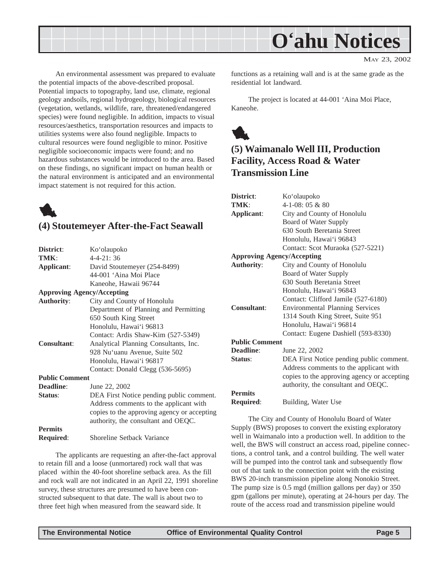<span id="page-4-0"></span>

An environmental assessment was prepared to evaluate the potential impacts of the above-described proposal. Potential impacts to topography, land use, climate, regional geology andsoils, regional hydrogeology, biological resources (vegetation, wetlands, wildlife, rare, threatened/endangered species) were found negligible. In addition, impacts to visual resources/aesthetics, transportation resources and impacts to utilities systems were also found negligible. Impacts to cultural resources were found negligible to minor. Positive negligible socioeconomic impacts were found; and no hazardous substances would be introduced to the area. Based on these findings, no significant impact on human health or the natural environment is anticipated and an environmental impact statement is not required for this action.



### **(4) Stoutemeyer After-the-Fact Seawall**

| District:                         | Ko'olaupoko                                 |
|-----------------------------------|---------------------------------------------|
| TMK:                              | $4 - 4 - 21$ : 36                           |
| Applicant:                        | David Stoutemeyer (254-8499)                |
|                                   | 44-001 'Aina Moi Place                      |
|                                   | Kaneohe, Hawaii 96744                       |
| <b>Approving Agency/Accepting</b> |                                             |
| <b>Authority:</b>                 | City and County of Honolulu                 |
|                                   | Department of Planning and Permitting       |
|                                   | 650 South King Street                       |
|                                   | Honolulu, Hawai'i 96813                     |
|                                   | Contact: Ardis Shaw-Kim (527-5349)          |
| <b>Consultant:</b>                | Analytical Planning Consultants, Inc.       |
|                                   | 928 Nu'uanu Avenue, Suite 502               |
|                                   | Honolulu, Hawai'i 96817                     |
|                                   | Contact: Donald Clegg (536-5695)            |
| <b>Public Comment</b>             |                                             |
| Deadline:                         | June 22, 2002                               |
| Status:                           | DEA First Notice pending public comment.    |
|                                   | Address comments to the applicant with      |
|                                   | copies to the approving agency or accepting |
|                                   | authority, the consultant and OEQC.         |
| <b>Permits</b>                    |                                             |
| <b>Required:</b>                  | Shoreline Setback Variance                  |
|                                   |                                             |

The applicants are requesting an after-the-fact approval to retain fill and a loose (unmortared) rock wall that was placed within the 40-foot shoreline setback area. As the fill and rock wall are not indicated in an April 22, 1991 shoreline survey, these structures are presumed to have been constructed subsequent to that date. The wall is about two to three feet high when measured from the seaward side. It

functions as a retaining wall and is at the same grade as the residential lot landward.

The project is located at 44-001 'Aina Moi Place, Kaneohe.



### **(5) Waimanalo Well III, Production Facility, Access Road & Water Transmission Line**

| District:                         | Ko'olaupoko                                 |
|-----------------------------------|---------------------------------------------|
| TMK:                              | $4-1-08:05 & 8.80$                          |
| Applicant:                        | City and County of Honolulu                 |
|                                   | Board of Water Supply                       |
|                                   | 630 South Beretania Street                  |
|                                   | Honolulu, Hawai'i 96843                     |
|                                   | Contact: Scot Muraoka (527-5221)            |
| <b>Approving Agency/Accepting</b> |                                             |
| <b>Authority:</b>                 | City and County of Honolulu                 |
|                                   | Board of Water Supply                       |
|                                   | 630 South Beretania Street                  |
|                                   | Honolulu, Hawai'i 96843                     |
|                                   | Contact: Clifford Jamile (527-6180)         |
| Consultant:                       | <b>Environmental Planning Services</b>      |
|                                   | 1314 South King Street, Suite 951           |
|                                   | Honolulu, Hawai'i 96814                     |
|                                   | Contact: Eugene Dashiell (593-8330)         |
| <b>Public Comment</b>             |                                             |
| Deadline:                         | June 22, 2002                               |
| Status:                           | DEA First Notice pending public comment.    |
|                                   | Address comments to the applicant with      |
|                                   | copies to the approving agency or accepting |
|                                   | authority, the consultant and OEQC.         |
| <b>Permits</b>                    |                                             |
| <b>Required:</b>                  | Building, Water Use                         |
|                                   |                                             |

The City and County of Honolulu Board of Water Supply (BWS) proposes to convert the existing exploratory well in Waimanalo into a production well. In addition to the well, the BWS will construct an access road, pipeline connections, a control tank, and a control building. The well water will be pumped into the control tank and subsequently flow out of that tank to the connection point with the existing BWS 20-inch transmission pipeline along Nonokio Street. The pump size is 0.5 mgd (million gallons per day) or 350 gpm (gallons per minute), operating at 24-hours per day. The route of the access road and transmission pipeline would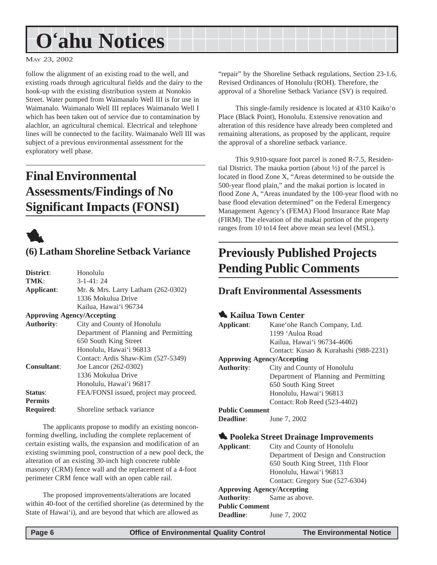## <span id="page-5-0"></span>**O'ahu Notices**

MAY 23, 2002

follow the alignment of an existing road to the well, and existing roads through agricultural fields and the dairy to the hook-up with the existing distribution system at Nonokio Street. Water pumped from Waimanalo Well III is for use in Waimanalo. Waimanalo Well III replaces Waimanalo Well I which has been taken out of service due to contamination by alachlor, an agricultural chemical. Electrical and telephone lines will be connected to the facility. Waimanalo Well III was subject of a previous environmental assessment for the exploratory well phase.

### **Final Environmental Assessments/Findings of No Significant Impacts (FONSI)**



### **(6) Latham Shoreline Setback Variance**

| District:                         | Honolulu                               |
|-----------------------------------|----------------------------------------|
|                                   |                                        |
| TMK:                              | $3 - 1 - 41$ : 24                      |
| Applicant:                        | Mr. & Mrs. Larry Latham (262-0302)     |
|                                   | 1336 Mokulua Drive                     |
|                                   | Kailua, Hawai'i 96734                  |
| <b>Approving Agency/Accepting</b> |                                        |
| <b>Authority:</b>                 | City and County of Honolulu            |
|                                   | Department of Planning and Permitting  |
|                                   | 650 South King Street                  |
|                                   | Honolulu, Hawai'i 96813                |
|                                   | Contact: Ardis Shaw-Kim (527-5349)     |
| <b>Consultant:</b>                | Joe Lancor (262-0302)                  |
|                                   | 1336 Mokulua Drive                     |
|                                   | Honolulu, Hawai'i 96817                |
| Status:                           | FEA/FONSI issued, project may proceed. |
| <b>Permits</b>                    |                                        |
| <b>Required:</b>                  | Shoreline setback variance             |

The applicants propose to modify an existing nonconforming dwelling, including the complete replacement of certain existing walls, the expansion and modification of an existing swimming pool, construction of a new pool deck, the alteration of an existing 30-inch high concrete rubble masonry (CRM) fence wall and the replacement of a 4-foot perimeter CRM fence wall with an open cable rail.

The proposed improvements/alterations are located within 40-foot of the certified shoreline (as determined by the State of Hawai'i), and are beyond that which are allowed as

"repair" by the Shoreline Setback regulations, Section 23-1.6, Revised Ordinances of Honolulu (ROH). Therefore, the approval of a Shoreline Setback Variance (SV) is required.

This single-family residence is located at 4310 Kaiko'o Place (Black Point), Honolulu. Extensive renovation and alteration of this residence have already been completed and remaining alterations, as proposed by the applicant, require the approval of a shoreline setback variance.

This 9,910-square foot parcel is zoned R-7.5, Residential District. The mauka portion (about  $\frac{1}{2}$ ) of the parcel is located in flood Zone X, "Areas determined to be outside the 500-year flood plain," and the makai portion is located in flood Zone A, "Areas inundated by the 100-year flood with no base flood elevation determined" on the Federal Emergency Management Agency's (FEMA) Flood Insurance Rate Map (FIRM). The elevation of the makai portion of the property ranges from 10 to14 feet above mean sea level (MSL).

### **Previously Published Projects Pending Public Comments**

### **Draft Environmental Assessments**

### 1 **Kailua Town Center**

|                       | $\sim$ iscritted to will control      |
|-----------------------|---------------------------------------|
| Applicant:            | Kane'ohe Ranch Company, Ltd.          |
|                       | 1199 'Auloa Road                      |
|                       | Kailua, Hawai'i 96734-4606            |
|                       | Contact: Kusao & Kurahashi (988-2231) |
|                       | <b>Approving Agency/Accepting</b>     |
| <b>Authority:</b>     | City and County of Honolulu           |
|                       | Department of Planning and Permitting |
|                       | 650 South King Street                 |
|                       | Honolulu, Hawai'i 96813               |
|                       | Contact: Rob Reed (523-4402)          |
| <b>Public Comment</b> |                                       |
| <b>Deadline:</b>      | June 7, 2002                          |

### 1 **Pooleka Street Drainage Improvements**

**Applicant**: City and County of Honolulu Department of Design and Construction 650 South King Street, 11th Floor Honolulu, Hawai'i 96813 Contact: Gregory Sue (527-6304) **Approving Agency/Accepting Authority**: Same as above.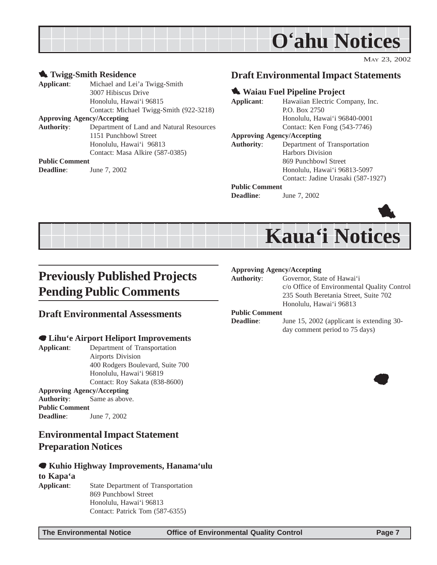<span id="page-6-0"></span>

#### **1** Twigg-Smith Residence **Applicant**: Michael and Lei'a Twigg-Smith 3007 Hibiscus Drive Honolulu, Hawai'i 96815 Contact: Michael Twigg-Smith (922-3218) **Approving Agency/Accepting Authority**: Department of Land and Natural Resources 1151 Punchbowl Street Honolulu, Hawai'i 96813 Contact: Masa Alkire (587-0385) **Public Comment Deadline**: June 7, 2002

### **Draft Environmental Impact Statements**

#### **1. Waiau Fuel Pipeline Project**

| Applicant:                        | Hawaiian Electric Company, Inc. |
|-----------------------------------|---------------------------------|
|                                   | P.O. Box 2750                   |
|                                   | Honolulu, Hawai'i 96840-0001    |
|                                   | Contact: Ken Fong (543-7746)    |
| <b>Approving Agency/Accepting</b> |                                 |

**Authority**: Department of Transportation Harbors Division 869 Punchbowl Street Honolulu, Hawai'i 96813-5097 Contact: Jadine Urasaki (587-1927)

#### **Public Comment**

**Deadline:** June 7, 2002



## **Kaua'i Notices**

### **Previously Published Projects Pending Public Comments**

### **Draft Environmental Assessments**

### 7 **Lihu'e Airport Heliport Improvements**

**Applicant**: Department of Transportation Airports Division 400 Rodgers Boulevard, Suite 700 Honolulu, Hawai'i 96819 Contact: Roy Sakata (838-8600) **Approving Agency/Accepting Authority**: Same as above. **Public Comment Deadline:** June 7, 2002

### **Environmental Impact Statement Preparation Notices**

### 7 **Kuhio Highway Improvements, Hanama'ulu to Kapa'a**

**Applicant**: State Department of Transportation 869 Punchbowl Street Honolulu, Hawai'i 96813 Contact: Patrick Tom (587-6355)

#### **Approving Agency/Accepting**

**Authority**: Governor, State of Hawai'i c/o Office of Environmental Quality Control 235 South Beretania Street, Suite 702 Honolulu, Hawai'i 96813

#### **Public Comment**

**Deadline**: June 15, 2002 (applicant is extending 30day comment period to 75 days)

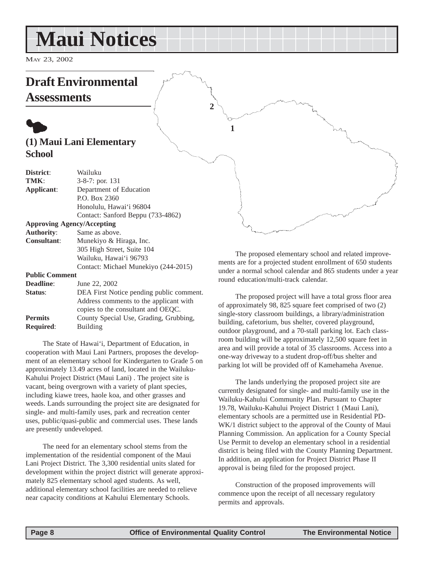## <span id="page-7-0"></span>**Maui Notices**

MAY 23, 2002

### **Draft Environmental**

**Assessments**

### $\bullet$ **(1) Maui Lani Elementary School**

| District:             | Wailuku                                  |
|-----------------------|------------------------------------------|
| TMK:                  | $3-8-7$ : por. 131                       |
| Applicant:            | Department of Education                  |
|                       | P.O. Box 2360                            |
|                       | Honolulu, Hawai'i 96804                  |
|                       | Contact: Sanford Beppu (733-4862)        |
|                       | <b>Approving Agency/Accepting</b>        |
| <b>Authority:</b>     | Same as above.                           |
| <b>Consultant:</b>    | Munekiyo & Hiraga, Inc.                  |
|                       | 305 High Street, Suite 104               |
|                       | Wailuku, Hawai'i 96793                   |
|                       | Contact: Michael Munekiyo (244-2015)     |
| <b>Public Comment</b> |                                          |
| <b>Deadline:</b>      | June 22, 2002                            |
| Status:               | DEA First Notice pending public comment. |
|                       | Address comments to the applicant with   |
|                       | copies to the consultant and OEQC.       |
| <b>Permits</b>        | County Special Use, Grading, Grubbing,   |
| <b>Required:</b>      | Building                                 |

The State of Hawai'i, Department of Education, in cooperation with Maui Lani Partners, proposes the development of an elementary school for Kindergarten to Grade 5 on approximately 13.49 acres of land, located in the Wailuku-Kahului Project District (Maui Lani) . The project site is vacant, being overgrown with a variety of plant species, including kiawe trees, haole koa, and other grasses and weeds. Lands surrounding the project site are designated for single- and multi-family uses, park and recreation center uses, public/quasi-public and commercial uses. These lands are presently undeveloped.

The need for an elementary school stems from the implementation of the residential component of the Maui Lani Project District. The 3,300 residential units slated for development within the project district will generate approximately 825 elementary school aged students. As well, additional elementary school facilities are needed to relieve near capacity conditions at Kahului Elementary Schools.

The proposed elementary school and related improvements are for a projected student enrollment of 650 students under a normal school calendar and 865 students under a year round education/multi-track calendar.

The proposed project will have a total gross floor area of approximately 98, 825 square feet comprised of two (2) single-story classroom buildings, a library/administration building, cafetorium, bus shelter, covered playground, outdoor playground, and a 70-stall parking lot. Each classroom building will be approximately 12,500 square feet in area and will provide a total of 35 classrooms. Access into a one-way driveway to a student drop-off/bus shelter and parking lot will be provided off of Kamehameha Avenue.

The lands underlying the proposed project site are currently designated for single- and multi-family use in the Wailuku-Kahului Community Plan. Pursuant to Chapter 19.78, Wailuku-Kahului Project District 1 (Maui Lani), elementary schools are a permitted use in Residential PD-WK/1 district subject to the approval of the County of Maui Planning Commission. An application for a County Special Use Permit to develop an elementary school in a residential district is being filed with the County Planning Department. In addition, an application for Project District Phase II approval is being filed for the proposed project.

Construction of the proposed improvements will commence upon the receipt of all necessary regulatory permits and approvals.

**2**

**1**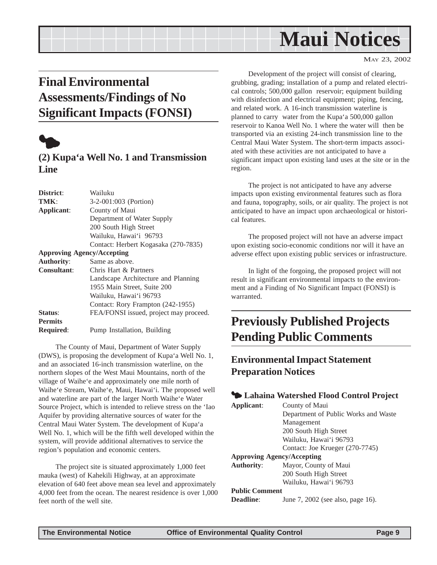## **Maui Notices**

#### MAY 23, 2002

### <span id="page-8-0"></span>**Final Environmental Assessments/Findings of No Significant Impacts (FONSI)**



### **(2) Kupa'a Well No. 1 and Transmission Line**

| District:          | Wailuku                                |  |  |
|--------------------|----------------------------------------|--|--|
| TMK:               | 3-2-001:003 (Portion)                  |  |  |
| Applicant:         | County of Maui                         |  |  |
|                    | Department of Water Supply             |  |  |
|                    | 200 South High Street                  |  |  |
|                    | Wailuku, Hawai'i 96793                 |  |  |
|                    | Contact: Herbert Kogasaka (270-7835)   |  |  |
|                    | <b>Approving Agency/Accepting</b>      |  |  |
| <b>Authority:</b>  | Same as above.                         |  |  |
| <b>Consultant:</b> | Chris Hart & Partners                  |  |  |
|                    | Landscape Architecture and Planning    |  |  |
|                    | 1955 Main Street, Suite 200            |  |  |
|                    | Wailuku, Hawai'i 96793                 |  |  |
|                    | Contact: Rory Frampton (242-1955)      |  |  |
| Status:            | FEA/FONSI issued, project may proceed. |  |  |
| <b>Permits</b>     |                                        |  |  |
| <b>Required:</b>   | Pump Installation, Building            |  |  |
|                    |                                        |  |  |

The County of Maui, Department of Water Supply (DWS), is proposing the development of Kupa'a Well No. 1, and an associated 16-inch transmission waterline, on the northern slopes of the West Maui Mountains, north of the village of Waihe'e and approximately one mile north of Waihe'e Stream, Waihe'e, Maui, Hawai'i. The proposed well and waterline are part of the larger North Waihe'e Water Source Project, which is intended to relieve stress on the 'Iao Aquifer by providing alternative sources of water for the Central Maui Water System. The development of Kupa'a Well No. 1, which will be the fifth well developed within the system, will provide additional alternatives to service the region's population and economic centers.

The project site is situated approximately 1,000 feet mauka (west) of Kahekili Highway, at an approximate elevation of 640 feet above mean sea level and approximately 4,000 feet from the ocean. The nearest residence is over 1,000 feet north of the well site.

Development of the project will consist of clearing, grubbing, grading; installation of a pump and related electrical controls; 500,000 gallon reservoir; equipment building with disinfection and electrical equipment; piping, fencing, and related work. A 16-inch transmission waterline is planned to carry water from the Kupa'a 500,000 gallon reservoir to Kanoa Well No. 1 where the water will then be transported via an existing 24-inch transmission line to the Central Maui Water System. The short-term impacts associated with these activities are not anticipated to have a significant impact upon existing land uses at the site or in the region.

The project is not anticipated to have any adverse impacts upon existing environmental features such as flora and fauna, topography, soils, or air quality. The project is not anticipated to have an impact upon archaeological or historical features.

The proposed project will not have an adverse impact upon existing socio-economic conditions nor will it have an adverse effect upon existing public services or infrastructure.

In light of the forgoing, the proposed project will not result in significant environmental impacts to the environment and a Finding of No Significant Impact (FONSI) is warranted.

### **Previously Published Projects Pending Public Comments**

### **Environmental Impact Statement Preparation Notices**

### 3 **Lahaina Watershed Flood Control Project**

| Applicant:            | County of Maui                       |
|-----------------------|--------------------------------------|
|                       | Department of Public Works and Waste |
|                       | Management                           |
|                       | 200 South High Street                |
|                       | Wailuku, Hawai'i 96793               |
|                       | Contact: Joe Krueger (270-7745)      |
|                       | <b>Approving Agency/Accepting</b>    |
| <b>Authority:</b>     | Mayor, County of Maui                |
|                       | 200 South High Street                |
|                       | Wailuku, Hawai'i 96793               |
| <b>Public Comment</b> |                                      |
| Deadline:             | June 7, 2002 (see also, page 16).    |
|                       |                                      |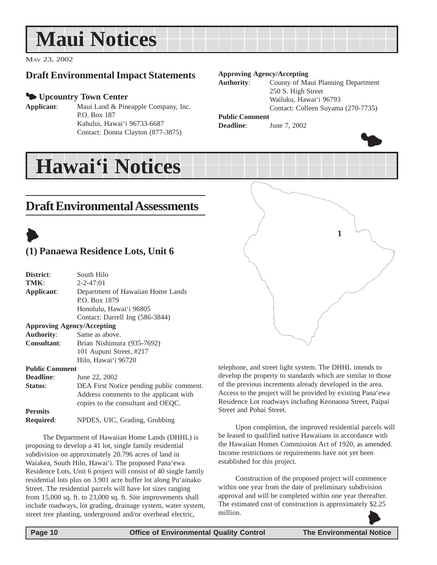## <span id="page-9-0"></span>**Maui Notices**

MAY 23, 2002

### **Draft Environmental Impact Statements**

### 3 **Upcountry Town Center**

**Applicant**: Maui Land & Pineapple Company, Inc. P.O. Box 187 Kahului, Hawai'i 96733-6687 Contact: Donna Clayton (877-3875)

#### **Approving Agency/Accepting**

**Authority**: County of Maui Planning Department 250 S. High Street Wailuku, Hawai'i 96793 Contact: Colleen Suyama (270-7735)

### **Public Comment**

**Deadline:** June 7, 2002



## **Draft Environmental Assessments**

**Hawai'i Notices**



### **(1) Panaewa Residence Lots, Unit 6**

| District:                         | South Hilo                               |  |  |
|-----------------------------------|------------------------------------------|--|--|
| TMK:                              | $2 - 2 - 47:01$                          |  |  |
| Applicant:                        | Department of Hawaiian Home Lands        |  |  |
|                                   | P.O. Box 1879                            |  |  |
|                                   | Honolulu, Hawai'i 96805                  |  |  |
|                                   | Contact: Darrell Ing (586-3844)          |  |  |
| <b>Approving Agency/Accepting</b> |                                          |  |  |
| <b>Authority:</b>                 | Same as above.                           |  |  |
| <b>Consultant:</b>                | Brian Nishimura (935-7692)               |  |  |
|                                   | 101 Aupuni Street, #217                  |  |  |
|                                   | Hilo, Hawai'i 96720                      |  |  |
| <b>Public Comment</b>             |                                          |  |  |
| Deadline:                         | June 22, 2002                            |  |  |
| Status:                           | DEA First Notice pending public comment. |  |  |
|                                   | Address comments to the applicant with   |  |  |
|                                   | copies to the consultant and OEQC.       |  |  |
| <b>Permits</b>                    |                                          |  |  |
| <b>Required:</b>                  | NPDES, UIC, Grading, Grubbing            |  |  |

The Department of Hawaiian Home Lands (DHHL) is proposing to develop a 41 lot, single family residential subdivision on approximately 20.796 acres of land in Waiakea, South Hilo, Hawai'i. The proposed Pana'ewa Residence Lots, Unit 6 project will consist of 40 single family residential lots plus on 3.901 acre buffer lot along Pu'ainako Street. The residential parcels will have lot sizes ranging from 15,000 sq. ft. to 23,000 sq. ft. Site improvements shall include roadways, lot grading, drainage system, water system, street tree planting, underground and/or overhead electric,

**1**

telephone, and street light system. The DHHL intends to develop the property to standards which are similar to those of the previous increments already developed in the area. Access to the project will be provided by existing Pana'ewa Residence Lot roadways including Keonaona Street, Paipai Street and Pohai Street.

Upon completion, the improved residential parcels will be leased to qualified native Hawaiians in accordance with the Hawaiian Homes Commission Act of 1920, as amended. Income restrictions or requirements have not yet been established for this project.

Construction of the proposed project will commence within one year from the date of preliminary subdivision approval and will be completed within one year thereafter. The estimated cost of construction is approximately \$2.25 million.  $\blacklozenge$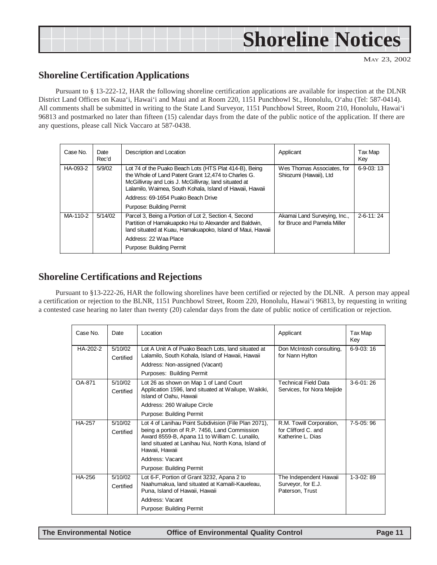<span id="page-10-0"></span>

### **Shoreline Certification Applications**

Pursuant to § 13-222-12, HAR the following shoreline certification applications are available for inspection at the DLNR District Land Offices on Kaua'i, Hawai'i and Maui and at Room 220, 1151 Punchbowl St., Honolulu, O'ahu (Tel: 587-0414). All comments shall be submitted in writing to the State Land Surveyor, 1151 Punchbowl Street, Room 210, Honolulu, Hawai'i 96813 and postmarked no later than fifteen (15) calendar days from the date of the public notice of the application. If there are any questions, please call Nick Vaccaro at 587-0438.

| Case No. | Date<br>Rec'd | Description and Location                                                                                                                                                                                                                                                                             | Applicant                                                   | Tax Map<br>Key |
|----------|---------------|------------------------------------------------------------------------------------------------------------------------------------------------------------------------------------------------------------------------------------------------------------------------------------------------------|-------------------------------------------------------------|----------------|
| HA-093-2 | 5/9/02        | Lot 74 of the Puako Beach Lots (HTS Plat 414-B), Being<br>the Whole of Land Patent Grant 12.474 to Charles G.<br>McGillivray and Lois J. McGillivray, land situated at<br>Lalamilo, Waimea, South Kohala, Island of Hawaii, Hawaii<br>Address: 69-1654 Puako Beach Drive<br>Purpose: Building Permit | Wes Thomas Associates, for<br>Shiozumi (Hawaii), Ltd        | $6-9-03:13$    |
| MA-110-2 | 5/14/02       | Parcel 3, Being a Portion of Lot 2, Section 4, Second<br>Partition of Hamakuapoko Hui to Alexander and Baldwin,<br>land situated at Kuau, Hamakuapoko, Island of Maui, Hawaii<br>Address: 22 Waa Place<br>Purpose: Building Permit                                                                   | Akamai Land Surveying, Inc.,<br>for Bruce and Pamela Miller | $2-6-11:24$    |

### **Shoreline Certifications and Rejections**

Pursuant to §13-222-26, HAR the following shorelines have been certified or rejected by the DLNR. A person may appeal a certification or rejection to the BLNR, 1151 Punchbowl Street, Room 220, Honolulu, Hawai'i 96813, by requesting in writing a contested case hearing no later than twenty (20) calendar days from the date of public notice of certification or rejection.

| Case No. | Date                                                                                                                                             | Location                                                                                                                                                                                                                                            | Applicant                                                            | Tax Map<br>Key |
|----------|--------------------------------------------------------------------------------------------------------------------------------------------------|-----------------------------------------------------------------------------------------------------------------------------------------------------------------------------------------------------------------------------------------------------|----------------------------------------------------------------------|----------------|
| HA-202-2 | 5/10/02<br>Lot A Unit A of Puako Beach Lots, land situated at<br>Lalamilo, South Kohala, Island of Hawaii, Hawaii<br>Certified                   |                                                                                                                                                                                                                                                     | Don McIntosh consulting,<br>for Nann Hylton                          | $6-9-03:16$    |
|          |                                                                                                                                                  | Address: Non-assigned (Vacant)                                                                                                                                                                                                                      |                                                                      |                |
|          |                                                                                                                                                  | Purposes: Building Permit                                                                                                                                                                                                                           |                                                                      |                |
| OA-871   | 5/10/02<br>Lot 26 as shown on Map 1 of Land Court<br>Application 1596, land situated at Wailupe, Waikiki,<br>Certified<br>Island of Oahu. Hawaii |                                                                                                                                                                                                                                                     | <b>Technical Field Data</b><br>Services, for Nora Meijide            | $3-6-01:26$    |
|          |                                                                                                                                                  | Address: 260 Wailupe Circle                                                                                                                                                                                                                         |                                                                      |                |
|          |                                                                                                                                                  | Purpose: Building Permit                                                                                                                                                                                                                            |                                                                      |                |
| HA-257   | 5/10/02<br>Certified                                                                                                                             | Lot 4 of Lanihau Point Subdivision (File Plan 2071),<br>being a portion of R.P. 7456, Land Commission<br>Award 8559-B, Apana 11 to William C. Lunalilo,<br>land situated at Lanihau Nui, North Kona, Island of<br>Hawaii. Hawaii<br>Address: Vacant | R.M. Towill Corporation,<br>for Clifford C. and<br>Katherine L. Dias | $7-5-05:96$    |
|          |                                                                                                                                                  | Purpose: Building Permit                                                                                                                                                                                                                            |                                                                      |                |
| HA-256   | 5/10/02<br>Certified                                                                                                                             | Lot 6-F, Portion of Grant 3232, Apana 2 to<br>Naahumakua, land situated at Kamaili-Kaueleau,<br>Puna, Island of Hawaii, Hawaii                                                                                                                      | The Independent Hawaii<br>Surveyor, for E.J.<br>Paterson, Trust      | $1-3-02:89$    |
|          |                                                                                                                                                  | Address: Vacant                                                                                                                                                                                                                                     |                                                                      |                |
|          |                                                                                                                                                  | Purpose: Building Permit                                                                                                                                                                                                                            |                                                                      |                |

L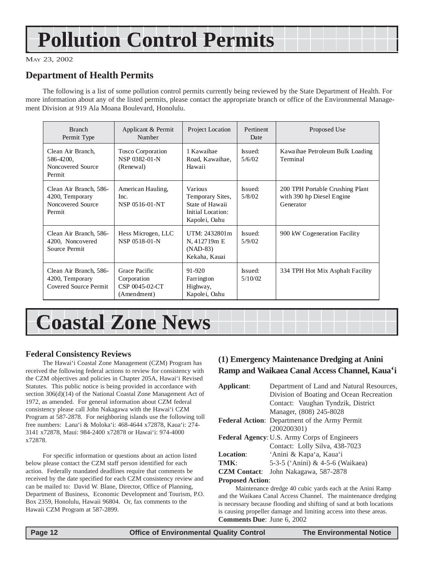## <span id="page-11-0"></span>**Pollution Control Permits**

MAY 23, 2002

### **Department of Health Permits**

The following is a list of some pollution control permits currently being reviewed by the State Department of Health. For more information about any of the listed permits, please contact the appropriate branch or office of the Environmental Management Division at 919 Ala Moana Boulevard, Honolulu.

| <b>Branch</b><br>Permit Type                                             | Applicant & Permit<br>Number                                  | Project Location                                                                            | Pertinent<br>Date  | Proposed Use                                                              |
|--------------------------------------------------------------------------|---------------------------------------------------------------|---------------------------------------------------------------------------------------------|--------------------|---------------------------------------------------------------------------|
| Clean Air Branch,<br>586-4200,<br>Noncovered Source<br>Permit            | <b>Tosco Corporation</b><br>NSP 0382-01-N<br>(Renewal)        | 1 Kawaihae<br>Road, Kawaihae,<br>Hawaii                                                     | Issued:<br>5/6/02  | Kawaihae Petroleum Bulk Loading<br>Terminal                               |
| Clean Air Branch, 586-<br>4200, Temporary<br>Noncovered Source<br>Permit | American Hauling,<br>Inc.<br>NSP 0516-01-NT                   | <b>Various</b><br>Temporary Sites,<br>State of Hawaii<br>Initial Location:<br>Kapolei, Oahu | Issued:<br>5/8/02  | 200 TPH Portable Crushing Plant<br>with 390 hp Diesel Engine<br>Generator |
| Clean Air Branch, 586-<br>4200, Noncovered<br>Source Permit              | Hess Microgen, LLC<br>NSP 0518-01-N                           | UTM: 2432801m<br>N, 412719m E<br>$(NAD-83)$<br>Kekaha, Kauai                                | Issued:<br>5/9/02  | 900 kW Cogeneration Facility                                              |
| Clean Air Branch, 586-<br>4200, Temporary<br>Covered Source Permit       | Grace Pacific<br>Corporation<br>CSP 0045-02-CT<br>(Amendment) | $91 - 920$<br>Farrington<br>Highway,<br>Kapolei, Oahu                                       | Issued:<br>5/10/02 | 334 TPH Hot Mix Asphalt Facility                                          |

## **Coastal Zone News**

### **Federal Consistency Reviews**

The Hawai'i Coastal Zone Management (CZM) Program has received the following federal actions to review for consistency with the CZM objectives and policies in Chapter 205A, Hawai'i Revised Statutes. This public notice is being provided in accordance with section 306(d)(14) of the National Coastal Zone Management Act of 1972, as amended. For general information about CZM federal consistency please call John Nakagawa with the Hawai'i CZM Program at 587-2878. For neighboring islands use the following toll free numbers: Lana'i & Moloka'i: 468-4644 x72878, Kaua'i: 274- 3141 x72878, Maui: 984-2400 x72878 or Hawai'i: 974-4000 x72878.

For specific information or questions about an action listed below please contact the CZM staff person identified for each action. Federally mandated deadlines require that comments be received by the date specified for each CZM consistency review and can be mailed to: David W. Blane, Director, Office of Planning, Department of Business, Economic Development and Tourism, P.O. Box 2359, Honolulu, Hawaii 96804. Or, fax comments to the Hawaii CZM Program at 587-2899.

### **(1) Emergency Maintenance Dredging at Anini Ramp and Waikaea Canal Access Channel, Kaua'i**

| Applicant:                                           | Department of Land and Natural Resources, |  |  |  |
|------------------------------------------------------|-------------------------------------------|--|--|--|
|                                                      | Division of Boating and Ocean Recreation  |  |  |  |
|                                                      | Contact: Vaughan Tyndzik, District        |  |  |  |
|                                                      | Manager, (808) 245-8028                   |  |  |  |
| <b>Federal Action:</b> Department of the Army Permit |                                           |  |  |  |
|                                                      | (200200301)                               |  |  |  |
| Federal Agency: U.S. Army Corps of Engineers         |                                           |  |  |  |
|                                                      | Contact: Lolly Silva, 438-7023            |  |  |  |
| <b>Location:</b>                                     | 'Anini & Kapa'a, Kaua'i                   |  |  |  |
| TMK:                                                 | 5-3-5 ('Anini) & 4-5-6 (Waikaea)          |  |  |  |
| <b>CZM</b> Contact:                                  | John Nakagawa, 587-2878                   |  |  |  |
| <b>Proposed Action:</b>                              |                                           |  |  |  |

Maintenance dredge 40 cubic yards each at the Anini Ramp and the Waikaea Canal Access Channel. The maintenance dredging is necessary because flooding and shifting of sand at both locations is causing propeller damage and limiting access into these areas. **Comments Due**: June 6, 2002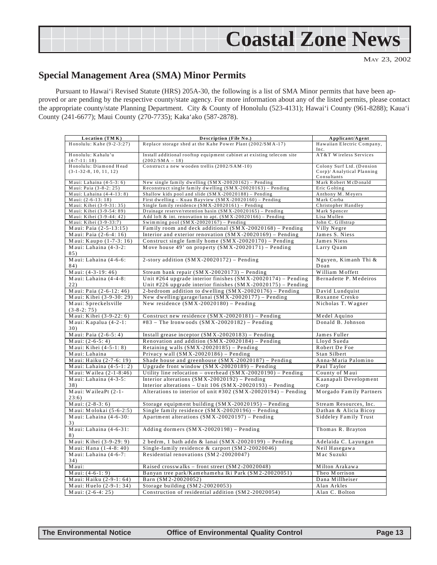

### **Special Management Area (SMA) Minor Permits**

Pursuant to Hawai'i Revised Statute (HRS) 205A-30, the following is a list of SMA Minor permits that have been approved or are pending by the respective county/state agency. For more information about any of the listed permits, please contact the appropriate county/state Planning Department. City & County of Honolulu (523-4131); Hawai'i County (961-8288); Kaua'i County (241-6677); Maui County (270-7735); Kaka'ako (587-2878).

| Location (TMK)            | Description (File No.)                                                | Applicant/Agent                     |
|---------------------------|-----------------------------------------------------------------------|-------------------------------------|
| Honolulu: Kahe (9-2-3:27) | Replace storage shed at the Kahe Power Plant (2002/SMA-17)            | Hawaiian Electric Company,          |
|                           |                                                                       | Inc.                                |
| Honolulu: Kahalu'u        | Install additional rooftop equipment cabinet at existing telecom site | AT&T Wireless Services              |
| $(4 - 7 - 11:18)$         | $(2002/SMA - 18)$                                                     |                                     |
| Honolulu: Diamond Head    | Construct a new wooden trellis (2002/SAM-10)                          | Colony Surf Ltd. (Dension           |
| $(3-1-32-8, 10, 11, 12)$  |                                                                       | Corp)/ Analytical Planning          |
| Maui: Lahaina (4-5-3: 6)  | New single family dwelling (SMX-20020162) - Pending                   | Consultants<br>Mark Robert McDonald |
| Maui: Paia (3-8-2: 25)    | Reconstruct single family dwelling (SMX-20020163) - Pending           | Eric Golting                        |
| Maui: Lahaina (4-4-13: 8) | Shallow kids pool and slide $(SMX - 20020188)$ - Pending              | Anthony M. Meyers                   |
| Maui: (2-6-13: 18)        | First dwelling - Kuau Bayview (SMX-20020160) - Pending                | Mark Corba                          |
| Maui: Kihei (3-9-31: 35)  | Single family residence $(SMX - 20020161)$ - Pending                  | Christopher Handley                 |
| Maui: Kihei (3-9-54: 89)  | Drainage reserve/retention basin $(SMX - 20020165)$ - Pending         | Mark Spencer                        |
| Maui: Kihei (3-9-44: 42)  | Add loft & int. renovation to apt. $(SMX - 20020166)$ - Pending       | Lisa Mullen                         |
| Maui: Kihei (3-9-33:7)    | Swimming pool $(SMX - 20020167)$ - Pending                            | John C. Gillstrap                   |
| Maui: Paia (2-5-13:15)    | Family room and deck additional (SMX-20020168) - Pending              | Villy Negre                         |
| Maui: Paia (2-6-4: 16)    | Interior and exterior renovation $(SMX - 20020169)$ – Pending         | James S. Niess                      |
| Maui: Kaupo (1-7-3: 16)   | Construct single family home $(SMX - 20020170)$ - Pending             | James Niess                         |
| Maui: Lahaina (4-3-2:     | Move house 49' on property $(SMX - 20020171)$ – Pending               | Larry Quam                          |
| 85)                       |                                                                       |                                     |
| Maui: Lahaina (4-6-6:     | 2-story addition $(SMX - 20020172)$ - Pending                         | Nguyen, Kimanh Thi &                |
| 84)                       |                                                                       | Doan                                |
| Maui: (4-3-19: 46)        | Stream bank repair $(SMX - 20020173)$ - Pending                       | William Moffett                     |
| Maui: Lahaina (4-4-8:     | Unit #264 upgrade interior finishes $(SMX - 20020174)$ – Pending      | Bernadette P. Medeiros              |
| 22)                       | Unit #226 upgrade interior finishes $(SMX - 20020175)$ – Pending      |                                     |
| Maui: Paia (2-6-12: 46)   | 2-bedroom addition to dwelling $(SMX - 20020176)$ – Pending           | David Lundquist                     |
| Maui: Kihei (3-9-30: 29)  | New dwelling/garage/lanai $(SMX - 20020177)$ – Pending                | Roxanne Cresko                      |
| Maui: Spreckelsville      | New residence $(SMX - 20020180)$ – Pending                            | Nicholas T. Wagner                  |
| $(3-8-2:75)$              |                                                                       |                                     |
| Maui: Kihei (3-9-22: 6)   | Construct new residence (SMX-20020181) - Pending                      | Medel Aquino                        |
| Maui: Kapalua $(4-2-1)$ : | #83 - The Ironwoods $(SMX - 20020182)$ - Pending                      | Donald B. Johnson                   |
| 30)                       |                                                                       |                                     |
| Maui: Paia (2-6-5: 4)     | Install grease inceptor $(SMX - 20020183)$ – Pending                  | James Fuller                        |
| Maui: $(2-6-5:4)$         | Renovation and addition $(SMX - 20020184)$ – Pending                  | Lloyd Sueda                         |
| Maui: Kihei (4-5-1: 8)    | Retaining walls $(SMX - 20020185)$ - Pending                          | Robert De Foe                       |
| Maui: Lahaina             | Privacy wall $(SMX - 20020186)$ – Pending                             | Stan Silbert                        |
| Maui: Haiku (2-7-6: 19)   | Shade house and greenhouse (SMX-20020187) - Pending                   | Anna-Maria Palomino                 |
| Maui: Lahaina $(4-5-1:2)$ | Upgrade front window $(SMX - 20020189)$ – Pending                     | Paul Taylor                         |
| Maui: Wailea (2-1-8:46)   | Utility line relocation – overhead $(SMX - 20020190)$ – Pending       | County of Maui                      |
| Maui: Lahaina (4-3-5:     | Interior alterations $(SMX - 20020192)$ – Pending                     | Kaanapali Development               |
| 38)                       | Interior alterations - Unit 106 $(SMX - 20020193)$ - Pending          | $C$ or $p$                          |
| Maui: WaileaPt (2-1-      | Alterations to interior of unit #302 (SMX-20020194) - Pending         | Morgado Family Partners             |
| 23:6)                     |                                                                       |                                     |
| Maui: $(2-8-3:6)$         | Storage equipment building $(SMX - 20020195)$ - Pending               | Stream Resources, Inc.              |
| Maui: Molokai (5-6-2:5)   | Single family residence (SMX-20020196) - Pending                      | Dathan & Alicia Bicoy               |
| Maui: Lahaina (4-6-30:    | Apartment alterations $(SMX - 20020197)$ – Pending                    | Siddeley Family Trust               |
| 3)                        |                                                                       |                                     |
| Maui: Lahaina (4-6-31:    | Adding dormers (SMX-20020198) - Pending                               | Thomas R. Brayton                   |
| 8)                        |                                                                       |                                     |
| Maui: Kihei (3-9-29: 9)   | 2 bedrm, 1 bath addn & lanai $(SMX - 20020199)$ - Pending             | Adelaida C. Layungan                |
| Maui: Hana (1-4-8: 40)    | Single-family residence & carport (SM2-20020046)                      | Neil Hasegawa                       |
| Maui: Lahaina (4-6-7:     | Residential renovations (SM2-20020047)                                | Mac Suzuki                          |
| 34)                       |                                                                       |                                     |
| Maui:                     | Raised crosswalks – front street $(SM 2-20020048)$                    | Milton Arakawa                      |
| Maui: $(4-6-1:9)$         | Banyan tree park/Kamehameha Iki Park (SM2-20020051)                   | Theo Morrison                       |
| Maui: Haiku (2-9-1: 64)   | Barn (SM2-20020052)                                                   | Dana Millheiser                     |
| Maui: Huelo (2-9-1:34)    | Storage building (SM2-20020053)                                       | Alan Arkles                         |
| Maui: $(2-6-4:25)$        | Construction of residential addition (SM2-20020054)                   | Alan C. Bolton                      |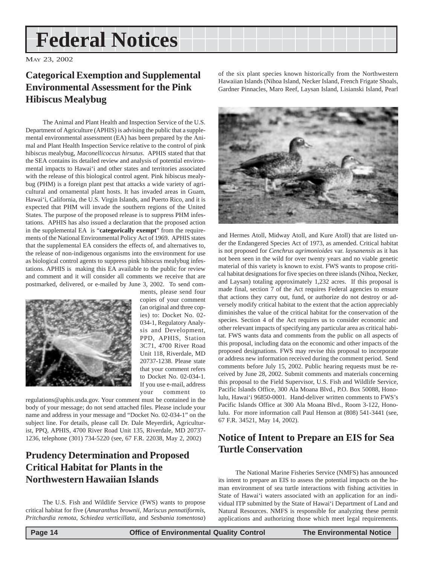## <span id="page-13-0"></span>**Federal Notices**

MAY 23, 2002

### **Categorical Exemption and Supplemental Environmental Assessment for the Pink Hibiscus Mealybug**

The Animal and Plant Health and Inspection Service of the U.S. Department of Agriculture (APHIS) is advising the public that a supplemental environmental assessment (EA) has been prepared by the Animal and Plant Health Inspection Service relative to the control of pink hibiscus mealybug, *Maconellicoccus hirsutus*. APHIS stated that that the SEA contains its detailed review and analysis of potential environmental impacts to Hawai'i and other states and territories associated with the release of this biological control agent. Pink hibiscus mealybug (PHM) is a foreign plant pest that attacks a wide variety of agricultural and ornamental plant hosts. It has invaded areas in Guam, Hawai'i, California, the U.S. Virgin Islands, and Puerto Rico, and it is expected that PHM will invade the southern regions of the United States. The purpose of the proposed release is to suppress PHM infestations. APHIS has also issued a declaration that the proposed action in the supplemental EA is "**categorically exempt**" from the requirements of the National Environmental Policy Act of 1969. APHIS states that the supplemental EA considers the effects of, and alternatives to, the release of non-indigenous organisms into the environment for use as biological control agents to suppress pink hibiscus mealybug infestations. APHIS is making this EA available to the public for review and comment and it will consider all comments we receive that are postmarked, delivered, or e-mailed by June 3, 2002. To send com-



ments, please send four copies of your comment (an original and three copies) to: Docket No. 02- 034-1, Regulatory Analysis and Development, PPD, APHIS, Station 3C71, 4700 River Road Unit 118, Riverdale, MD 20737-1238. Please state that your comment refers to Docket No. 02-034-1. If you use e-mail, address your comment to

regulations@aphis.usda.gov. Your comment must be contained in the body of your message; do not send attached files. Please include your name and address in your message and "Docket No. 02-034-1" on the subject line. For details, please call Dr. Dale Meyerdirk, Agriculturist, PPQ, APHIS, 4700 River Road Unit 135, Riverdale, MD 20737- 1236, telephone (301) 734-5220 (see, 67 F.R. 22038, May 2, 2002)

### **Prudency Determination and Proposed Critical Habitat for Plants in the Northwestern Hawaiian Islands**

The U.S. Fish and Wildlife Service (FWS) wants to propose critical habitat for five (*Amaranthus brownii*, *Mariscus pennatiformis*, *Pritchardia remota*, *Schiedea verticillata*, and *Sesbania tomentosa*) of the six plant species known historically from the Northwestern Hawaiian Islands (Nihoa Island, Necker Island, French Frigate Shoals, Gardner Pinnacles, Maro Reef, Laysan Island, Lisianski Island, Pearl



and Hermes Atoll, Midway Atoll, and Kure Atoll) that are listed under the Endangered Species Act of 1973, as amended. Critical habitat is not proposed for *Cenchrus agrimonioides* var. *laysanensis* as it has not been seen in the wild for over twenty years and no viable genetic material of this variety is known to exist. FWS wants to propose critical habitat designations for five species on three islands (Nihoa, Necker, and Laysan) totaling approximately 1,232 acres. If this proposal is made final, section 7 of the Act requires Federal agencies to ensure that actions they carry out, fund, or authorize do not destroy or adversely modify critical habitat to the extent that the action appreciably diminishes the value of the critical habitat for the conservation of the species. Section 4 of the Act requires us to consider economic and other relevant impacts of specifying any particular area as critical habitat. FWS wants data and comments from the public on all aspects of this proposal, including data on the economic and other impacts of the proposed designations. FWS may revise this proposal to incorporate or address new information received during the comment period. Send comments before July 15, 2002. Public hearing requests must be received by June 28, 2002. Submit comments and materials concerning this proposal to the Field Supervisor, U.S. Fish and Wildlife Service, Pacific Islands Office, 300 Ala Moana Blvd., P.O. Box 50088, Honolulu, Hawai'i 96850-0001. Hand-deliver written comments to FWS's Pacific Islands Office at 300 Ala Moana Blvd., Room 3-122, Honolulu. For more information call Paul Henson at (808) 541-3441 (see, 67 F.R. 34521, May 14, 2002).

### **Notice of Intent to Prepare an EIS for Sea Turtle Conservation**

The National Marine Fisheries Service (NMFS) has announced its intent to prepare an EIS to assess the potential impacts on the human environment of sea turtle interactions with fishing activities in State of Hawai'i waters associated with an application for an individual ITP submitted by the State of Hawai'i Department of Land and Natural Resources. NMFS is responsible for analyzing these permit applications and authorizing those which meet legal requirements.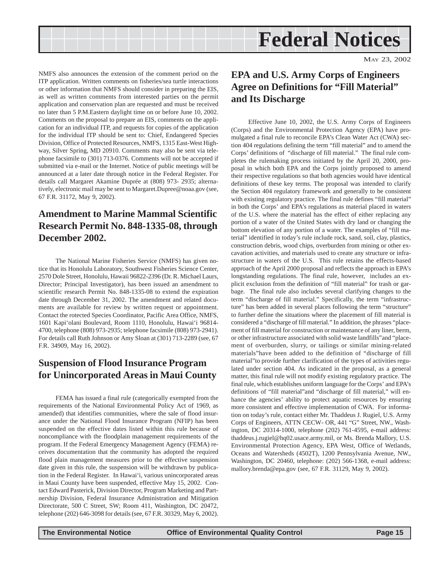<span id="page-14-0"></span>

NMFS also announces the extension of the comment period on the ITP application. Written comments on fisheries/sea turtle interactions or other information that NMFS should consider in preparing the EIS, as well as written comments from interested parties on the permit application and conservation plan are requested and must be received no later than 5 P.M.Eastern daylight time on or before June 10, 2002. Comments on the proposal to prepare an EIS, comments on the application for an individual ITP, and requests for copies of the application for the individual ITP should be sent to: Chief, Endangered Species Division, Office of Protected Resources, NMFS, 1315 East-West Highway, Silver Spring, MD 20910. Comments may also be sent via telephone facsimile to (301) 713-0376. Comments will not be accepted if submitted via e-mail or the Internet. Notice of public meetings will be announced at a later date through notice in the Federal Register. For details call Margaret Akamine Duprée at (808) 973- 2935; alternatively, electronic mail may be sent to Margaret.Dupree@noaa.gov (see, 67 F.R. 31172, May 9, 2002).

### **Amendment to Marine Mammal Scientific Research Permit No. 848-1335-08, through December 2002.**

The National Marine Fisheries Service (NMFS) has given notice that its Honolulu Laboratory, Southwest Fisheries Science Center, 2570 Dole Street, Honolulu, Hawaii 96822-2396 (Dr. R. Michael Laurs, Director; Principal Investigator), has been issued an amendment to scientific research Permit No. 848-1335-08 to extend the expiration date through December 31, 2002. The amendment and related documents are available for review by written request or appointment. Contact the rotected Species Coordinator, Pacific Area Office, NMFS, 1601 Kapi'olani Boulevard, Room 1110, Honolulu, Hawai'i 96814- 4700, telephone (808) 973-2935; telephone facsimile (808) 973-2941). For details call Ruth Johnson or Amy Sloan at (301) 713-2289 (see, 67 F.R. 34909, May 16, 2002).

### **Suspension of Flood Insurance Program for Unincorporated Areas in Maui County**

FEMA has issued a final rule (categorically exempted from the requirements of the National Environmental Policy Act of 1969, as amended) that identifies communities, where the sale of flood insurance under the National Flood Insurance Program (NFIP) has been suspended on the effective dates listed within this rule because of noncompliance with the floodplain management requirements of the program. If the Federal Emergency Management Agency (FEMA) receives documentation that the community has adopted the required flood plain management measures prior to the effective suspension date given in this rule, the suspension will be withdrawn by publication in the Federal Register. In Hawai'i, various unincorporated areas in Maui County have been suspended, effective May 15, 2002. Contact Edward Pasterick, Division Director, Program Marketing and Partnership Division, Federal Insurance Administration and Mitigation Directorate, 500 C Street, SW; Room 411, Washington, DC 20472, telephone (202) 646-3098 for details (see, 67 F.R. 30329, May 6, 2002).

### **EPA and U.S. Army Corps of Engineers Agree on Definitions for "Fill Material" and Its Discharge**

Effective June 10, 2002, the U.S. Army Corps of Engineers (Corps) and the Environmental Protection Agency (EPA) have promulgated a final rule to reconcile EPA's Clean Water Act (CWA) section 404 regulations defining the term "fill material" and to amend the Corps' definitions of "discharge of fill material." The final rule completes the rulemaking process initiated by the April 20, 2000, proposal in which both EPA and the Corps jointly proposed to amend their respective regulations so that both agencies would have identical definitions of these key terms. The proposal was intended to clarify the Section 404 regulatory framework and generally to be consistent with existing regulatory practice. The final rule defines "fill material" in both the Corps' and EPA's regulations as material placed in waters of the U.S. where the material has the effect of either replacing any portion of a water of the United States with dry land or changing the bottom elevation of any portion of a water. The examples of "fill material" identified in today's rule include rock, sand, soil, clay, plastics, construction debris, wood chips, overburden from mining or other excavation activities, and materials used to create any structure or infrastructure in waters of the U.S. This rule retains the effects-based approach of the April 2000 proposal and reflects the approach in EPA's longstanding regulations. The final rule, however, includes an explicit exclusion from the definition of "fill material" for trash or garbage. The final rule also includes several clarifying changes to the term "discharge of fill material." Specifically, the term "infrastructure" has been added in several places following the term "structure" to further define the situations where the placement of fill material is considered a "discharge of fill material." In addition, the phrases "placement of fill material for construction or maintenance of any liner, berm, or other infrastructure associated with solid waste landfills"and "placement of overburden, slurry, or tailings or similar mining-related materials"have been added to the definition of "discharge of fill material"to provide further clarification of the types of activities regulated under section 404. As indicated in the proposal, as a general matter, this final rule will not modify existing regulatory practice. The final rule, which establishes uniform language for the Corps' and EPA's definitions of "fill material"and "discharge of fill material," will enhance the agencies' ability to protect aquatic resources by ensuring more consistent and effective implementation of CWA. For information on today's rule, contact either Mr. Thaddeus J. Rugiel, U.S. Army Corps of Engineers, ATTN CECW- OR, 441 "G" Street, NW., Washington, DC 20314-1000, telephone (202) 761-4595, e-mail address: thaddeus.j.rugiel@hq02.usace.army.mil, or Ms. Brenda Mallory, U.S. Environmental Protection Agency, EPA West, Office of Wetlands, Oceans and Watersheds (4502T), 1200 Pennsylvania Avenue, NW., Washington, DC 20460, telephone: (202) 566-1368, e-mail address: mallory.brenda@epa.gov (see, 67 F.R. 31129, May 9, 2002).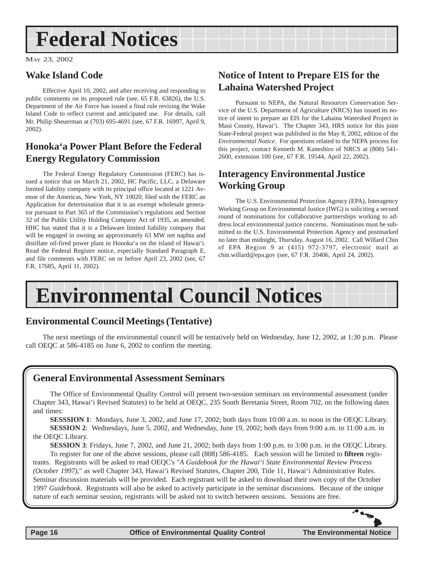## <span id="page-15-0"></span>**Federal Notices**

MAY 23, 2002

### **Wake Island Code**

Effective April 10, 2002, and after receiving and responding to public comments on its proposed rule (see, 65 F.R. 63826), the U.S. Department of the Air Force has issued a final rule revising the Wake Island Code to reflect current and anticipated use. For details, call Mr. Philip Sheuerman at (703) 695-4691 (see, 67 F.R. 16997, April 9, 2002).

### **Honoka'a Power Plant Before the Federal Energy Regulatory Commission**

The Federal Energy Regulatory Commission (FERC) has issued a notice that on March 21, 2002, HC Pacific, LLC, a Delaware limited liability company with its principal office located at 1221 Avenue of the Americas, New York, NY 10020, filed with the FERC an Application for determination that it is an exempt wholesale generator pursuant to Part 365 of the Commission's regulations and Section 32 of the Public Utility Holding Company Act of 1935, as amended. HHC has stated that it is a Delaware limited liability company that will be engaged in owning an approximately 63 MW net naphta and distillate oil-fired power plant in Honoka'a on the island of Hawai'i. Read the Federal Register notice, especially Standard Paragraph E, and file comments with FERC on or before April 23, 2002 (see, 67 F.R. 17685, April 11, 2002).

### **Notice of Intent to Prepare EIS for the Lahaina Watershed Project**

Pursuant to NEPA, the Natural Resources Conservation Service of the U.S. Department of Agriculture (NRCS) has issued its notice of intent to prepare an EIS for the Lahaina Watershed Project in Maui County, Hawai'i. The Chapter 343, HRS notice for this joint State-Federal project was published in the May 8, 2002, edition of the *Environmental Notice*. For questions related to the NEPA process for this project, contact Kenneth M. Kaneshiro of NRCS at (808) 541- 2600, extension 100 (see, 67 F.R. 19544, April 22, 2002).

### **Interagency Environmental Justice Working Group**

The U.S. Environmental Protection Agency (EPA), Interagency Working Group on Environmental Justice (IWG) is soliciting a second round of nominations for collaborative partnerships working to address local environmental justice concerns. Nominations must be submitted to the U.S. Environmental Protection Agency and postmarked no later than midnight, Thursday, August 16, 2002. Call Willard Chin of EPA Region 9 at (415) 972-3797, electronic mail at chin.willard@epa.gov (see, 67 F.R. 20406, April 24, 2002).

## **Environmental Council Notices**

### **Environmental Council Meetings (Tentative)**

The next meetings of the environmental council will be tentatively held on Wednesday, June 12, 2002, at 1:30 p.m. Please call OEQC at 586-4185 on June 6, 2002 to confirm the meeting.

### **General Environmental Assessment Seminars**

The Office of Environmental Quality Control will present two-session seminars on environmental assessment (under Chapter 343, Hawai'i Revised Statutes) to be held at OEQC, 235 South Beretania Street, Room 702, on the following dates and times:

**SESSSION 1**: Mondays, June 3, 2002, and June 17, 2002; both days from 10:00 a.m. to noon in the OEQC Library. **SESSION 2**: Wednesdays, June 5, 2002, and Wednesday, June 19, 2002; both days from 9:00 a.m. to 11:00 a.m. in the OEQC Library.

**SESSION 3**: Fridays, June 7, 2002, and June 21, 2002; both days from 1:00 p.m. to 3:00 p.m. in the OEQC Library. To register for one of the above sessions, please call (808) 586-4185. Each session will be limited to **fifteen** registrants. Registrants will be asked to read OEQC's "*A Guidebook for the Hawai'i State Environmental Review Process*

*(October 1997)*," as well Chapter 343, Hawai'i Revised Statutes, Chapter 200, Title 11, Hawai'i Administrative Rules. Seminar discussion materials will be provided. Each registrant will be asked to download their own copy of the October 1997 *Guidebook*. Registrants will also be asked to actively participate in the seminar discussions. Because of the unique nature of each seminar session, registrants will be asked not to switch between sessions. Sessions are free.



**PATS**